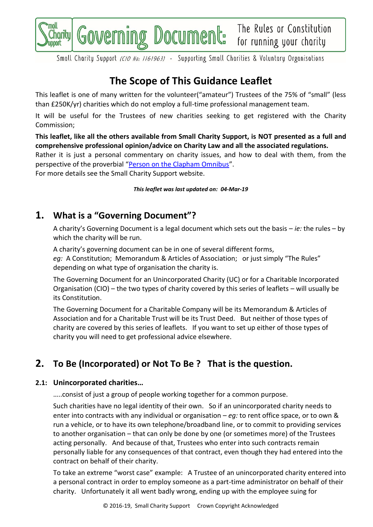

Small Charity Support (CIO No: 1161963) - Supporting Small Charities & Voluntary Organisations

# **The Scope of This Guidance Leaflet**

This leaflet is one of many written for the volunteer("amateur") Trustees of the 75% of "small" (less than £250K/yr) charities which do not employ a full-time professional management team.

It will be useful for the Trustees of new charities seeking to get registered with the Charity Commission;

**This leaflet, like all the others available from Small Charity Support, is NOT presented as a full and comprehensive professional opinion/advice on Charity Law and all the associated regulations.**

Rather it is just a personal commentary on charity issues, and how to deal with them, from the perspective of the proverbial "[Person on the Clapham Omnibus](https://en.wikipedia.org/wiki/The_man_on_the_Clapham_omnibus)".

For more details see the Small Charity Support website.

*This leaflet was last updated on: 04-Mar-19*

## **1. What is a "Governing Document"?**

A charity's Governing Document is a legal document which sets out the basis – *ie:* the rules – by which the charity will be run.

A charity's governing document can be in one of several different forms,

*eg:* A Constitution; Memorandum & Articles of Association; or just simply "The Rules" depending on what type of organisation the charity is.

The Governing Document for an Unincorporated Charity (UC) or for a Charitable Incorporated Organisation (CIO) – the two types of charity covered by this series of leaflets – will usually be its Constitution.

The Governing Document for a Charitable Company will be its Memorandum & Articles of Association and for a Charitable Trust will be its Trust Deed. But neither of those types of charity are covered by this series of leaflets. If you want to set up either of those types of charity you will need to get professional advice elsewhere.

## **2. To Be (Incorporated) or Not To Be ? That is the question.**

## **2.1: Unincorporated charities…**

…..consist of just a group of people working together for a common purpose.

Such charities have no legal identity of their own. So if an unincorporated charity needs to enter into contracts with any individual or organisation – *eg:* to rent office space, or to own & run a vehicle, or to have its own telephone/broadband line, or to commit to providing services to another organisation – that can only be done by one (or sometimes more) of the Trustees acting personally. And because of that, Trustees who enter into such contracts remain personally liable for any consequences of that contract, even though they had entered into the contract on behalf of their charity.

To take an extreme "worst case" example: A Trustee of an unincorporated charity entered into a personal contract in order to employ someone as a part-time administrator on behalf of their charity. Unfortunately it all went badly wrong, ending up with the employee suing for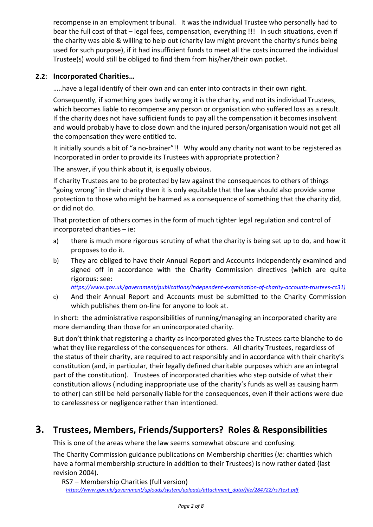recompense in an employment tribunal. It was the individual Trustee who personally had to bear the full cost of that – legal fees, compensation, everything !!! In such situations, even if the charity was able & willing to help out (charity law might prevent the charity's funds being used for such purpose), if it had insufficient funds to meet all the costs incurred the individual Trustee(s) would still be obliged to find them from his/her/their own pocket.

## **2.2: Incorporated Charities…**

…..have a legal identify of their own and can enter into contracts in their own right.

Consequently, if something goes badly wrong it is the charity, and not its individual Trustees, which becomes liable to recompense any person or organisation who suffered loss as a result. If the charity does not have sufficient funds to pay all the compensation it becomes insolvent and would probably have to close down and the injured person/organisation would not get all the compensation they were entitled to.

It initially sounds a bit of "a no-brainer"!! Why would any charity not want to be registered as Incorporated in order to provide its Trustees with appropriate protection?

The answer, if you think about it, is equally obvious.

If charity Trustees are to be protected by law against the consequences to others of things "going wrong" in their charity then it is only equitable that the law should also provide some protection to those who might be harmed as a consequence of something that the charity did, or did not do.

That protection of others comes in the form of much tighter legal regulation and control of incorporated charities – ie:

- a) there is much more rigorous scrutiny of what the charity is being set up to do, and how it proposes to do it.
- b) They are obliged to have their Annual Report and Accounts independently examined and signed off in accordance with the Charity Commission directives (which are quite rigorous: see:

*[https://www.gov.uk/government/publications/independent-examination-of-charity-accounts-trustees-cc31\)](https://www.gov.uk/government/publications/independent-examination-of-charity-accounts-trustees-cc31))*

c) And their Annual Report and Accounts must be submitted to the Charity Commission which publishes them on-line for anyone to look at.

In short: the administrative responsibilities of running/managing an incorporated charity are more demanding than those for an unincorporated charity.

But don't think that registering a charity as incorporated gives the Trustees carte blanche to do what they like regardless of the consequences for others. All charity Trustees, regardless of the status of their charity, are required to act responsibly and in accordance with their charity's constitution (and, in particular, their legally defined charitable purposes which are an integral part of the constitution). Trustees of incorporated charities who step outside of what their constitution allows (including inappropriate use of the charity's funds as well as causing harm to other) can still be held personally liable for the consequences, even if their actions were due to carelessness or negligence rather than intentioned.

## **3. Trustees, Members, Friends/Supporters? Roles & Responsibilities**

This is one of the areas where the law seems somewhat obscure and confusing.

The Charity Commission guidance publications on Membership charities (*ie:* charities which have a formal membership structure in addition to their Trustees) is now rather dated (last revision 2004).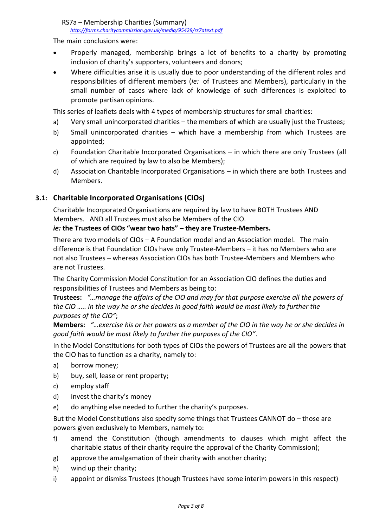The main conclusions were:

- Properly managed, membership brings a lot of benefits to a charity by promoting inclusion of charity's supporters, volunteers and donors;
- Where difficulties arise it is usually due to poor understanding of the different roles and responsibilities of different members (*ie:* of Trustees and Members), particularly in the small number of cases where lack of knowledge of such differences is exploited to promote partisan opinions.

This series of leaflets deals with 4 types of membership structures for small charities:

- a) Very small unincorporated charities the members of which are usually just the Trustees;
- b) Small unincorporated charities which have a membership from which Trustees are appointed;
- c) Foundation Charitable Incorporated Organisations in which there are only Trustees (all of which are required by law to also be Members);
- d) Association Charitable Incorporated Organisations in which there are both Trustees and Members.

### **3.1: Charitable Incorporated Organisations (CIOs)**

Charitable Incorporated Organisations are required by law to have BOTH Trustees AND Members. AND all Trustees must also be Members of the CIO.

#### *ie:* **the Trustees of CIOs "wear two hats" – they are Trustee-Members.**

There are two models of CIOs – A Foundation model and an Association model. The main difference is that Foundation CIOs have only Trustee-Members – it has no Members who are not also Trustees – whereas Association CIOs has both Trustee-Members and Members who are not Trustees.

The Charity Commission Model Constitution for an Association CIO defines the duties and responsibilities of Trustees and Members as being to:

**Trustees:** *"…manage the affairs of the CIO and may for that purpose exercise all the powers of the CIO ….. in the way he or she decides in good faith would be most likely to further the purposes of the CIO"*;

**Members:** *"…exercise his or her powers as a member of the CIO in the way he or she decides in good faith would be most likely to further the purposes of the CIO"*.

In the Model Constitutions for both types of CIOs the powers of Trustees are all the powers that the CIO has to function as a charity, namely to:

- a) borrow money;
- b) buy, sell, lease or rent property;
- c) employ staff
- d) invest the charity's money
- e) do anything else needed to further the charity's purposes.

But the Model Constitutions also specify some things that Trustees CANNOT do – those are powers given exclusively to Members, namely to:

- <span id="page-2-0"></span>f) amend the Constitution (though amendments to clauses which might affect the charitable status of their charity require the approval of the Charity Commission);
- g) approve the amalgamation of their charity with another charity;
- h) wind up their charity;
- <span id="page-2-1"></span>i) appoint or dismiss Trustees (though Trustees have some interim powers in this respect)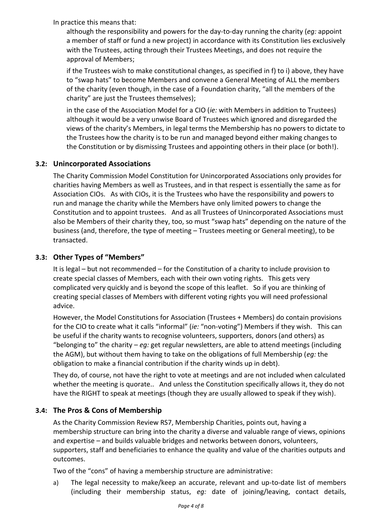In practice this means that:

although the responsibility and powers for the day-to-day running the charity (*eg:* appoint a member of staff or fund a new project) in accordance with its Constitution lies exclusively with the Trustees, acting through their Trustees Meetings, and does not require the approval of Members;

if the Trustees wish to make constitutional changes, as specified in [f\)](#page-2-0) to [i\)](#page-2-1) above, they have to "swap hats" to become Members and convene a General Meeting of ALL the members of the charity (even though, in the case of a Foundation charity, "all the members of the charity" are just the Trustees themselves);

in the case of the Association Model for a CIO (*ie:* with Members in addition to Trustees) although it would be a very unwise Board of Trustees which ignored and disregarded the views of the charity's Members, in legal terms the Membership has no powers to dictate to the Trustees how the charity is to be run and managed beyond either making changes to the Constitution or by dismissing Trustees and appointing others in their place (or both!).

## **3.2: Unincorporated Associations**

The Charity Commission Model Constitution for Unincorporated Associations only provides for charities having Members as well as Trustees, and in that respect is essentially the same as for Association CIOs. As with CIOs, it is the Trustees who have the responsibility and powers to run and manage the charity while the Members have only limited powers to change the Constitution and to appoint trustees. And as all Trustees of Unincorporated Associations must also be Members of their charity they, too, so must "swap hats" depending on the nature of the business (and, therefore, the type of meeting – Trustees meeting or General meeting), to be transacted.

### **3.3: Other Types of "Members"**

It is legal – but not recommended – for the Constitution of a charity to include provision to create special classes of Members, each with their own voting rights. This gets very complicated very quickly and is beyond the scope of this leaflet. So if you are thinking of creating special classes of Members with different voting rights you will need professional advice.

However, the Model Constitutions for Association (Trustees + Members) do contain provisions for the CIO to create what it calls "informal" (*ie:* "non-voting") Members if they wish. This can be useful if the charity wants to recognise volunteers, supporters, donors (and others) as "belonging to" the charity – *eg:* get regular newsletters, are able to attend meetings (including the AGM), but without them having to take on the obligations of full Membership (*eg:* the obligation to make a financial contribution if the charity winds up in debt).

They do, of course, not have the right to vote at meetings and are not included when calculated whether the meeting is quorate.. And unless the Constitution specifically allows it, they do not have the RIGHT to speak at meetings (though they are usually allowed to speak if they wish).

## **3.4: The Pros & Cons of Membership**

As the Charity Commission Review RS7, Membership Charities, points out, having a membership structure can bring into the charity a diverse and valuable range of views, opinions and expertise – and builds valuable bridges and networks between donors, volunteers, supporters, staff and beneficiaries to enhance the quality and value of the charities outputs and outcomes.

Two of the "cons" of having a membership structure are administrative:

a) The legal necessity to make/keep an accurate, relevant and up-to-date list of members (including their membership status, *eg:* date of joining/leaving, contact details,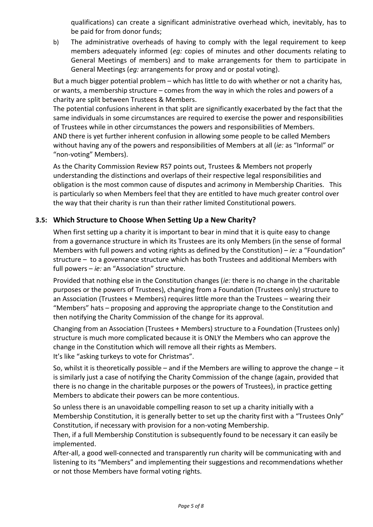qualifications) can create a significant administrative overhead which, inevitably, has to be paid for from donor funds;

b) The administrative overheads of having to comply with the legal requirement to keep members adequately informed (*eg:* copies of minutes and other documents relating to General Meetings of members) and to make arrangements for them to participate in General Meetings (*eg:* arrangements for proxy and or postal voting).

But a much bigger potential problem – which has little to do with whether or not a charity has, or wants, a membership structure – comes from the way in which the roles and powers of a charity are split between Trustees & Members.

The potential confusions inherent in that split are significantly exacerbated by the fact that the same individuals in some circumstances are required to exercise the power and responsibilities of Trustees while in other circumstances the powers and responsibilities of Members. AND there is yet further inherent confusion in allowing some people to be called Members without having any of the powers and responsibilities of Members at all (*ie:* as "Informal" or "non-voting" Members).

As the Charity Commission Review RS7 points out, Trustees & Members not properly understanding the distinctions and overlaps of their respective legal responsibilities and obligation is the most common cause of disputes and acrimony in Membership Charities. This is particularly so when Members feel that they are entitled to have much greater control over the way that their charity is run than their rather limited Constitutional powers.

## **3.5: Which Structure to Choose When Setting Up a New Charity?**

When first setting up a charity it is important to bear in mind that it is quite easy to change from a governance structure in which its Trustees are its only Members (in the sense of formal Members with full powers and voting rights as defined by the Constitution) – *ie:* a "Foundation" structure – to a governance structure which has both Trustees and additional Members with full powers – *ie:* an "Association" structure.

Provided that nothing else in the Constitution changes (*ie:* there is no change in the charitable purposes or the powers of Trustees), changing from a Foundation (Trustees only) structure to an Association (Trustees + Members) requires little more than the Trustees – wearing their "Members" hats – proposing and approving the appropriate change to the Constitution and then notifying the Charity Commission of the change for its approval.

Changing from an Association (Trustees + Members) structure to a Foundation (Trustees only) structure is much more complicated because it is ONLY the Members who can approve the change in the Constitution which will remove all their rights as Members. It's like "asking turkeys to vote for Christmas".

So, whilst it is theoretically possible – and if the Members are willing to approve the change – it is similarly just a case of notifying the Charity Commission of the change (again, provided that there is no change in the charitable purposes or the powers of Trustees), in practice getting Members to abdicate their powers can be more contentious.

So unless there is an unavoidable compelling reason to set up a charity initially with a Membership Constitution, it is generally better to set up the charity first with a "Trustees Only" Constitution, if necessary with provision for a non-voting Membership.

Then, if a full Membership Constitution is subsequently found to be necessary it can easily be implemented.

After-all, a good well-connected and transparently run charity will be communicating with and listening to its "Members" and implementing their suggestions and recommendations whether or not those Members have formal voting rights.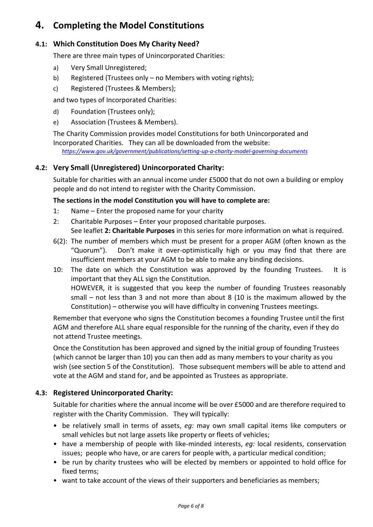## **4. Completing the Model Constitutions**

## **4.1: Which Constitution Does My Charity Need?**

There are three main types of Unincorporated Charities:

- a) Very Small Unregistered;
- b) Registered (Trustees only no Members with voting rights);
- c) Registered (Trustees & Members);

and two types of Incorporated Charities:

- d) Foundation (Trustees only);
- e) Association (Trustees & Members).

The Charity Commission provides model Constitutions for both Unincorporated and Incorporated Charities. They can all be downloaded from the website:

*<https://www.gov.uk/government/publications/setting-up-a-charity-model-governing-documents>*

### **4.2: Very Small (Unregistered) Unincorporated Charity:**

Suitable for charities with an annual income under £5000 that do not own a building or employ people and do not intend to register with the Charity Commission.

### **The sections in the model Constitution you will have to complete are:**

- 1: Name Enter the proposed name for your charity
- 2: Charitable Purposes Enter your proposed charitable purposes. See leaflet **2: Charitable Purposes** in this series for more information on what is required.
- 6(2): The number of members which must be present for a proper AGM (often known as the "Quorum"). Don't make it over-optimistically high or you may find that there are insufficient members at your AGM to be able to make any binding decisions.
- 10: The date on which the Constitution was approved by the founding Trustees. It is important that they ALL sign the Constitution. HOWEVER, it is suggested that you keep the number of founding Trustees reasonably small – not less than 3 and not more than about 8 (10 is the maximum allowed by the Constitution) – otherwise you will have difficulty in convening Trustees meetings.

Remember that everyone who signs the Constitution becomes a founding Trustee until the first AGM and therefore ALL share equal responsible for the running of the charity, even if they do not attend Trustee meetings.

Once the Constitution has been approved and signed by the initial group of founding Trustees (which cannot be larger than 10) you can then add as many members to your charity as you wish (see section 5 of the Constitution). Those subsequent members will be able to attend and vote at the AGM and stand for, and be appointed as Trustees as appropriate.

### **4.3: Registered Unincorporated Charity:**

Suitable for charities where the annual income will be over £5000 and are therefore required to register with the Charity Commission. They will typically:

- be relatively small in terms of assets, *eg:* may own small capital items like computers or small vehicles but not large assets like property or fleets of vehicles;
- have a membership of people with like-minded interests, *eg:* local residents, conservation issues; people who have, or are carers for people with, a particular medical condition;
- be run by charity trustees who will be elected by members or appointed to hold office for fixed terms;
- want to take account of the views of their supporters and beneficiaries as members;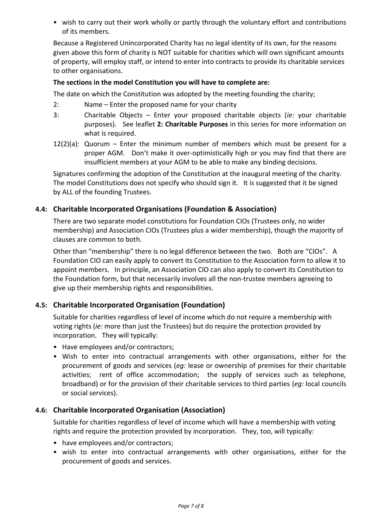• wish to carry out their work wholly or partly through the voluntary effort and contributions of its members.

Because a Registered Unincorporated Charity has no legal identity of its own, for the reasons given above this form of charity is NOT suitable for charities which will own significant amounts of property, will employ staff, or intend to enter into contracts to provide its charitable services to other organisations.

#### **The sections in the model Constitution you will have to complete are:**

The date on which the Constitution was adopted by the meeting founding the charity;

- 2: Name Enter the proposed name for your charity
- 3: Charitable Objects Enter your proposed charitable objects (*ie:* your charitable purposes). See leaflet **2: Charitable Purposes** in this series for more information on what is required.
- 12(2)(a): Quorum Enter the minimum number of members which must be present for a proper AGM. Don't make it over-optimistically high or you may find that there are insufficient members at your AGM to be able to make any binding decisions.

Signatures confirming the adoption of the Constitution at the inaugural meeting of the charity. The model Constitutions does not specify who should sign it. It is suggested that it be signed by ALL of the founding Trustees.

### **4.4: Charitable Incorporated Organisations (Foundation & Association)**

There are two separate model constitutions for Foundation CIOs (Trustees only, no wider membership) and Association CIOs (Trustees plus a wider membership), though the majority of clauses are common to both.

Other than "membership" there is no legal difference between the two. Both are "CIOs". A Foundation CIO can easily apply to convert its Constitution to the Association form to allow it to appoint members. In principle, an Association CIO can also apply to convert its Constitution to the Foundation form, but that necessarily involves all the non-trustee members agreeing to give up their membership rights and responsibilities.

### **4.5: Charitable Incorporated Organisation (Foundation)**

Suitable for charities regardless of level of income which do not require a membership with voting rights (*ie:* more than just the Trustees) but do require the protection provided by incorporation. They will typically:

- Have employees and/or contractors;
- Wish to enter into contractual arrangements with other organisations, either for the procurement of goods and services (*eg:* lease or ownership of premises for their charitable activities; rent of office accommodation; the supply of services such as telephone, broadband) or for the provision of their charitable services to third parties (*eg:* local councils or social services).

### **4.6: Charitable Incorporated Organisation (Association)**

Suitable for charities regardless of level of income which will have a membership with voting rights and require the protection provided by incorporation. They, too, will typically:

- have employees and/or contractors;
- wish to enter into contractual arrangements with other organisations, either for the procurement of goods and services.